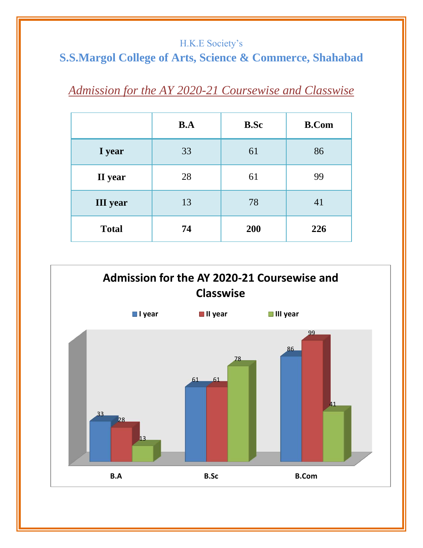#### H.K.E Society's

# **S.S.Margol College of Arts, Science & Commerce, Shahabad**

# *Admission for the AY 2020-21 Coursewise and Classwise*

|                 | B.A | <b>B.Sc</b> | <b>B.Com</b> |
|-----------------|-----|-------------|--------------|
| I year          | 33  | 61          | 86           |
| II year         | 28  | 61          | 99           |
| <b>III</b> year | 13  | 78          | 41           |
| <b>Total</b>    | 74  | 200         | 226          |

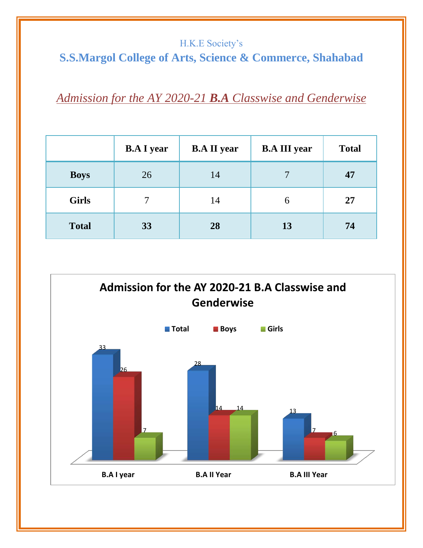#### H.K.E Society's

# **S.S.Margol College of Arts, Science & Commerce, Shahabad**

### *Admission for the AY 2020-21 B.A Classwise and Genderwise*

|              | <b>B.A I year</b> | <b>B.A II year</b> | <b>B.A III year</b> | <b>Total</b> |
|--------------|-------------------|--------------------|---------------------|--------------|
| <b>Boys</b>  | 26                | 14                 | $\tau$              | 47           |
| <b>Girls</b> |                   | 14                 | $\mathfrak b$       | 27           |
| <b>Total</b> | 33                | 28                 | 13                  | 74           |

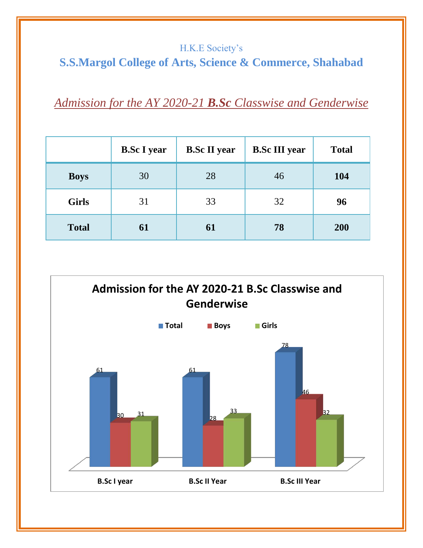#### H.K.E Society's **S.S.Margol College of Arts, Science & Commerce, Shahabad**

*Admission for the AY 2020-21 B.Sc Classwise and Genderwise*

|              | <b>B.Sc I year</b> | <b>B.Sc II year</b> | <b>B.Sc III year</b> | <b>Total</b> |
|--------------|--------------------|---------------------|----------------------|--------------|
| <b>Boys</b>  | 30                 | 28                  | 46                   | 104          |
| <b>Girls</b> | 31                 | 33                  | 32                   | 96           |
| <b>Total</b> | 61                 | 61                  | 78                   | 200          |